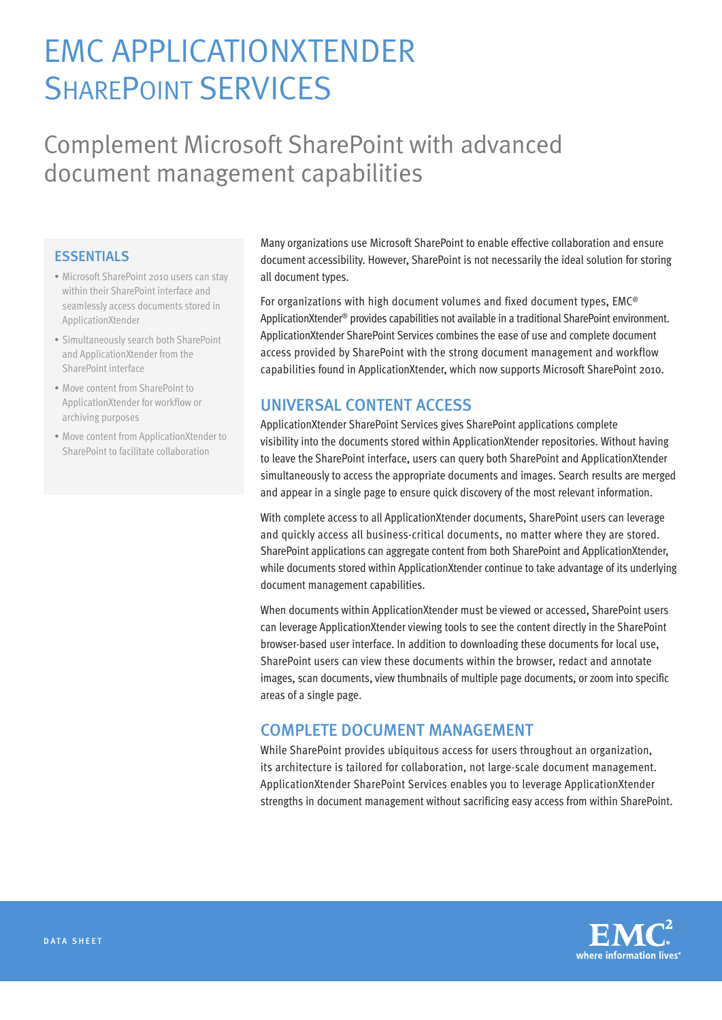# EMC ApplicationXtender **SHAREPOINT SERVICES**

## Complement Microsoft SharePoint with advanced document management capabilities

#### **ESSENTIALS**

- Microsoft SharePoint 2010 users can stay within their SharePoint interface and seamlessly access documents stored in ApplicationXtender
- • Simultaneously search both SharePoint and ApplicationXtender from the SharePoint interface
- Move content from SharePoint to ApplicationXtender for workflow or archiving purposes
- • Move content from ApplicationXtender to SharePoint to facilitate collaboration

Many organizations use Microsoft SharePoint to enable effective collaboration and ensure document accessibility. However, SharePoint is not necessarily the ideal solution for storing all document types.

For organizations with high document volumes and fixed document types, EMC® ApplicationXtender® provides capabilities not available in a traditional SharePoint environment. ApplicationXtender SharePoint Services combines the ease of use and complete document access provided by SharePoint with the strong document management and workflow capabilities found in ApplicationXtender, which now supports Microsoft SharePoint 2010.

### Universal content access

ApplicationXtender SharePoint Services gives SharePoint applications complete visibility into the documents stored within ApplicationXtender repositories. Without having to leave the SharePoint interface, users can query both SharePoint and ApplicationXtender simultaneously to access the appropriate documents and images. Search results are merged and appear in a single page to ensure quick discovery of the most relevant information.

With complete access to all ApplicationXtender documents, SharePoint users can leverage and quickly access all business-critical documents, no matter where they are stored. SharePoint applications can aggregate content from both SharePoint and ApplicationXtender, while documents stored within ApplicationXtender continue to take advantage of its underlying document management capabilities.

When documents within ApplicationXtender must be viewed or accessed, SharePoint users can leverage ApplicationXtender viewing tools to see the content directly in the SharePoint browser-based user interface. In addition to downloading these documents for local use, SharePoint users can view these documents within the browser, redact and annotate images, scan documents, view thumbnails of multiple page documents, or zoom into specific areas of a single page.

#### Complete document management

While SharePoint provides ubiquitous access for users throughout an organization, its architecture is tailored for collaboration, not large-scale document management. ApplicationXtender SharePoint Services enables you to leverage ApplicationXtender strengths in document management without sacrificing easy access from within SharePoint.